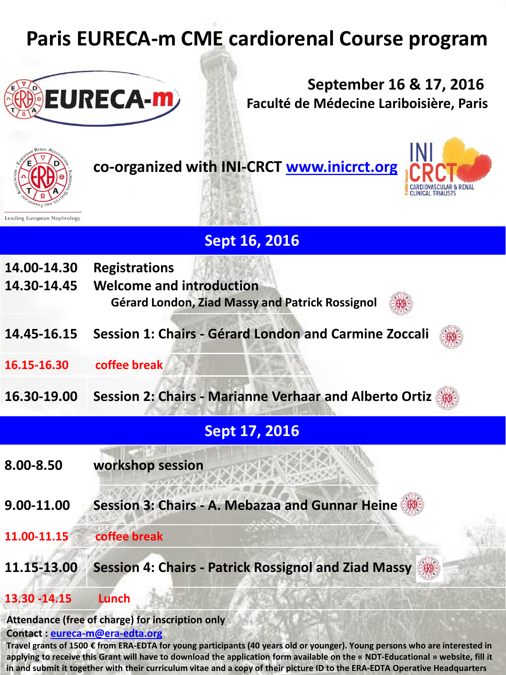# **Paris EURECA-m CME cardiorenal Course program**



**September 16 & 17, 2016 Faculté de Médecine Lariboisière, Paris**



**co-organized with INI-CRCT [www.inicrct.org](http://www.inicrct.org/)**



|                            | <b>Sept 16, 2016</b>                                                                                       |  |
|----------------------------|------------------------------------------------------------------------------------------------------------|--|
| 14.00-14.30<br>14.30-14.45 | <b>Registrations</b><br><b>Welcome and introduction</b><br>Gérard London, Ziad Massy and Patrick Rossignol |  |
| 14.45-16.15                | Session 1: Chairs - Gérard London and Carmine Zoccali                                                      |  |
| 16.15-16.30                | coffee break                                                                                               |  |
| 16.30-19.00                | <b>Session 2: Chairs - Marianne Verhaar and Alberto Ortiz</b>                                              |  |
|                            | <b>Sept 17, 2016</b>                                                                                       |  |
| 8.00-8.50                  | workshop session                                                                                           |  |
| 9.00-11.00                 | Session 3: Chairs - A. Mebazaa and Gunnar Heine                                                            |  |
| 11.00-11.15                | coffee break                                                                                               |  |
|                            |                                                                                                            |  |

### **11.15-13.00 Session 4: Chairs - Patrick Rossignol and Ziad Massy**

#### **13.30 -14.15 Lunch**

#### **Attendance (free of charge) for inscription only**

#### **Contact : [eureca-m@era-edta.org](mailto:eureca-m@era-edta.org)**

**Travel grants of 1500 € from ERA-EDTA for young participants (40 years old or younger). Young persons who are interested in applying to receive this Grant will have to download the application form available on the « NDT-Educational » website, fill it in and submit it together with their curriculum vitae and a copy of their picture ID to the ERA-EDTA Operative Headquarters**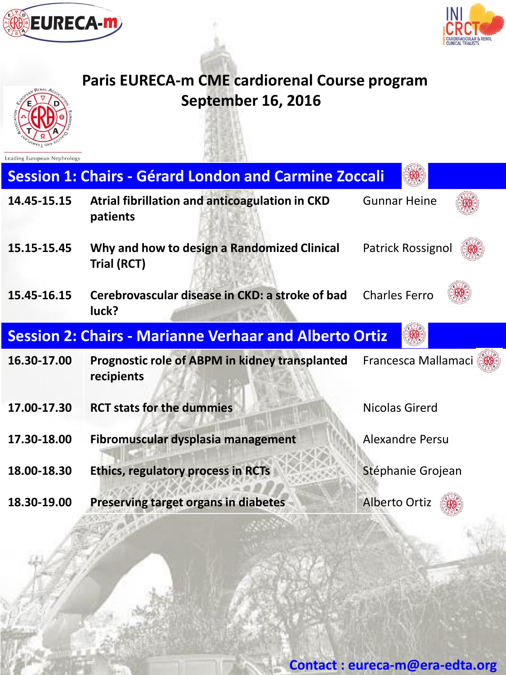



## **Paris EURECA-m CME cardiorenal Course program September 16, 2016**



Leading European Nephrology

| <b>Session 1: Chairs - Gérard London and Carmine Zoccali</b>  |                                                              |                        |  |  |
|---------------------------------------------------------------|--------------------------------------------------------------|------------------------|--|--|
| 14.45-15.15                                                   | Atrial fibrillation and anticoagulation in CKD<br>patients   | <b>Gunnar Heine</b>    |  |  |
| 15.15-15.45                                                   | Why and how to design a Randomized Clinical<br>Trial (RCT)   | Patrick Rossignol      |  |  |
| 15.45-16.15                                                   | Cerebrovascular disease in CKD: a stroke of bad<br>luck?     | <b>Charles Ferro</b>   |  |  |
| <b>Session 2: Chairs - Marianne Verhaar and Alberto Ortiz</b> |                                                              |                        |  |  |
| 16.30-17.00                                                   | Prognostic role of ABPM in kidney transplanted<br>recipients | Francesca Mallamaci    |  |  |
| 17.00-17.30                                                   | <b>RCT stats for the dummies</b>                             | Nicolas Girerd         |  |  |
| 17.30-18.00                                                   | Fibromuscular dysplasia management                           | <b>Alexandre Persu</b> |  |  |
| 18.00-18.30                                                   | <b>Ethics, regulatory process in RCTs</b>                    | Stéphanie Grojean      |  |  |
| 18.30-19.00                                                   | <b>Preserving target organs in diabetes</b>                  | <b>Alberto Ortiz</b>   |  |  |